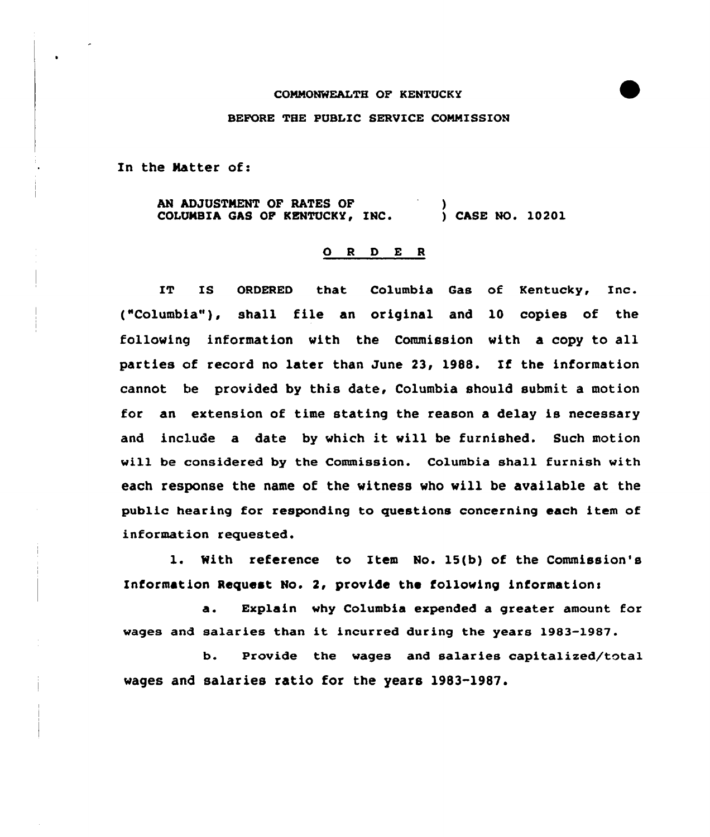## CONNONWEALTH OF KENTUCKY

## BEFORE THE PUBLIC SERUICE COMMISSION

In the Matter of:

AN ADJUSTMENT OF RATES OF COLUMBIA GAS OF KENTUCKY, INC. ) ) CASE NO. 10201

## 0 <sup>R</sup> <sup>D</sup> E <sup>R</sup>

IT IS ORDERED that Columbia Gas of Kentucky, Inc. ("Columbia"), shall file an original and 10 copies of the following information vith the Commission vith a copy to all parties of record no later than June 23, 1988. If the information cannot be provided by this date, Columbia should submit a motion for an extension of time stating the reason a delay is necessary and include <sup>a</sup> date by vhich it vill be furnished. Such motion will be considered by the Commission. Columbia shall furnish with each response the name of the vitness vho will be available at the public hearing for responding to questions concerning each item of information requested.

l. With reference to Item No. 15(b) of the Commission's Information Request No. 2, provide the following information<

a. Explain why Columbia expended a greater amount for wages and salaries than it incurred during the years 1983-1987.

b. Provide the wages and salaries capitalized/total wages and salaries ratio for the years 1983-1987.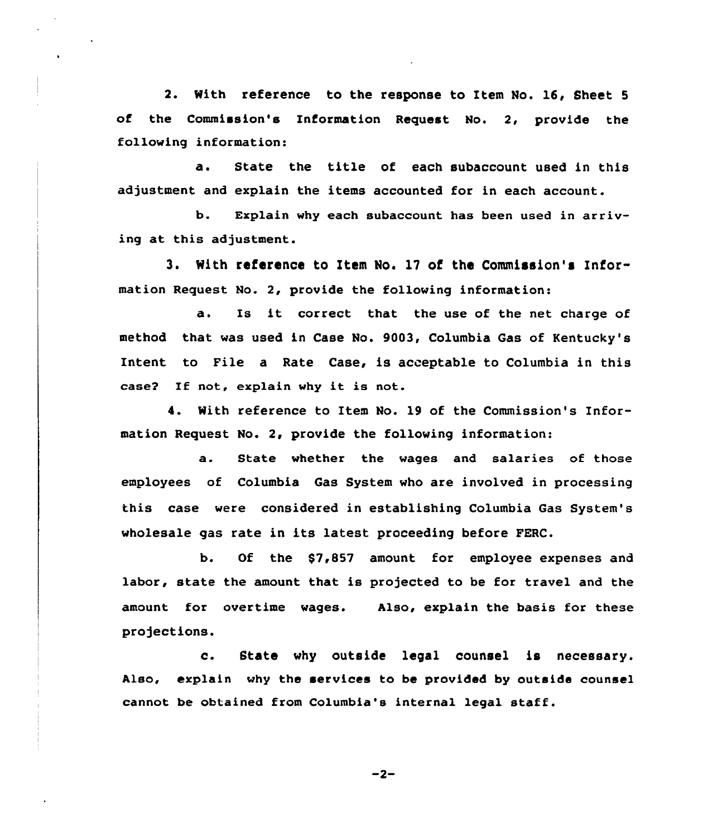2. With reference to the response to Item No. 16, Sheet <sup>5</sup> of the Commission's Information Request No. 2, provide the following information:

State the title of each subaccount used in this  $\ddot{a}$ . adjustment and explain the items accounted for in each account.

b. Explain why each subaccount has been used in arriving at this adjustment.

3. With reference to Item No. 17 of the Commission's Information Request No. 2, provide the following information:

a. Is it correct that the use of the net charge of method that was used in Case No. 9003, Columbia Gas of Kentucky's Intent to Pile a Rate Case, is acceptable to Columbia in this case? If not, explain why it is not.

4. With reference to Item No. 19 of the Commission's Information Request No. 2, provide the following information:

a. State whether the wages and salaries of those employees of Columbia Gas System who are involved in processing this case were considered in establishing Columbia Gas System's wholesale gas rate in its latest proceeding before FERC.

b. Of the \$7,857 amount for employee expenses and labor, state the amount that is projected to be for travel and the amount for overtime wages. Also, explain the basis for these projections.

c. State why outside legal counsel is necessary. Also, explain why the services to be provided by outside counsel cannot be obtained from Columbia's internal legal staff.

 $-2-$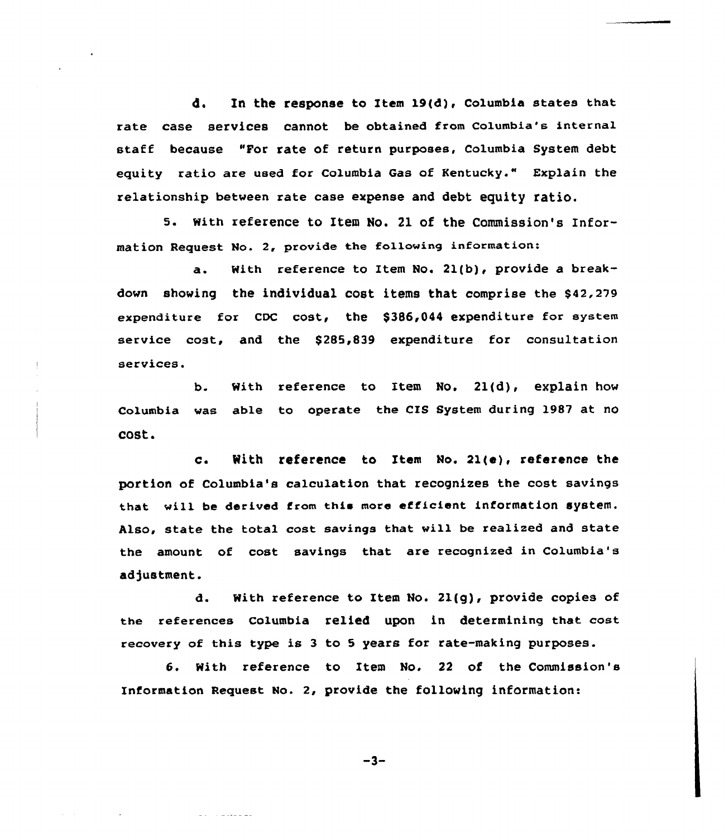d. In the response to Item 19(d), columbia states that rate case services cannot be obtained from Columbia's internal staff because "For rate of return purposes, Columbia System debt equity ratio are used for Columbia Gas of Kentucky." Explain the relationship between rate case expense and debt equity ratio.

5. With reference to Item No. 21 of the Commission's Information Request No. 2, provide the follawing information:

a. With reference to Item No. 21(b), provide a breakdown showing the individual cost items that comprise the \$42,279 expenditure for CDC cost, the \$386,044 expenditure for system service cost, and the \$285,839 expenditure for consultation services.

b. With reference to Item No. 21(d), explain how Columbia was able to operate the CIS System during 1987 at no cost.

c. With reference to Item No. 21(e), reference the portion of Columbia's calculation that recognizes the cost savings that will be derived from this more efficient information system. Also, state the total cost savings that will be realized and state the amount of cost savings that are recognized in Columbia's adjustment.

d. With reference to Item No. Zl(g), provide copies of the references columbia relied upon in determining that cost recovery of this type is <sup>3</sup> to 5 years for rate-making purposes.

6. With reference to Item No. <sup>22</sup> of the Commission's Information Request No. 2, provide the following information:

 $-3-$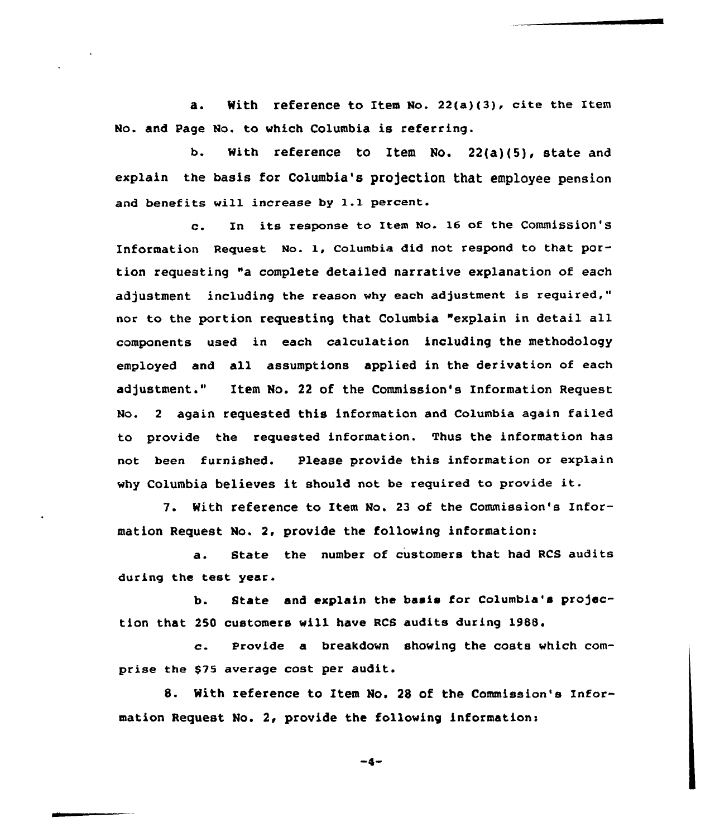a. With reference to Item No. 22(a)(3), cite the Item No. and Page No. to vhich Columbia is referring.

b. With reference to Item No. 22(a)(5), state and explain the basis for Columbia's projection that employee pension and benefits will increase by 1.1 percent.

c. In its response to Item No. <sup>16</sup> of the Commission'8 Information Request No. 1, Columbia did not respond to that portion requesting "a complete detailed narrative explanation of each adjustment including the reason why each adjustment is required," nor to the portion requesting that Columbia "explain in detail all components used in each calculation including the methodology employed and all assumptions applied in the derivation of each adjustment." Item No. 22 of the Commission's Information Request No. <sup>2</sup> again requested this information and Columbia again failed to provide the requested information. Thus the information has not been furnished. Please provide this information or explain vhy Columbia believes it should not be required to provide it.

7. With reference to Item No. <sup>23</sup> of the Commission's Information Request Mo. 2, provide the folloving information:

a. State the number of customers that had RCS audits during the test year.

b. State and explain the basis for Columbia's projection that 2SO customers vill have RCS audits during 1988.

c. Provide <sup>a</sup> breakdovn shoving the costs which comprise the \$75 average cost per audit.

8. With reference to Item No. 28 of the Commission's Information Request No. 2, provide the following information:

 $-4-$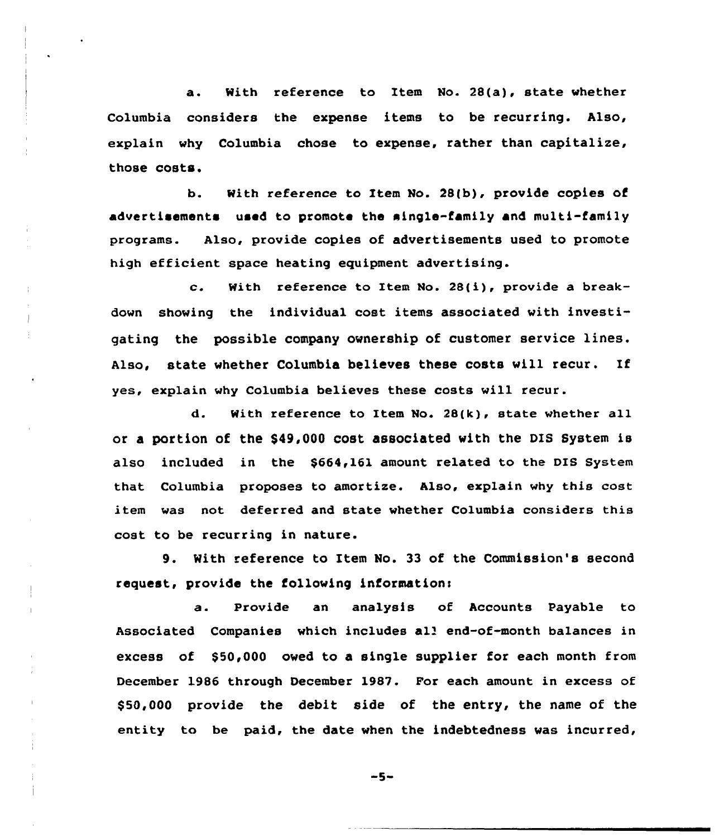a. With reference to Item No. 28(a), state whether Columbia considers the expense items to be recurring. Also, explain why Columbia chose to expense, rather than capitalize, those costs.

b. With reference to Item No. 28(b), provide copies of advertisements used to promote the single-family and multi-family programs. Also, provide copies of advertisements used to promote high efficient space heating equipment advertising.

c. With reference to Item Mo. 28(i), provide <sup>a</sup> breakdown showing the individual cost items associated with investigating the possible company ownership of customer service lines. Also, state whether Columbia believes these costs will recur. If yes, explain why Columbia believes these costs will recur.

d. With reference to Item No. 28(k), state whether all or a portion of the \$49,000 cost associated with the DIS System is also included in the \$664,161 amount related to the DIS System that Columbia proposes to amortize. Also, explain why this cost item was not deferred and state whether Columbia considers this cost to be recurring in nature.

9. With reference to Item No. 33 of the Commission's second request, provide the following information:

a. Provide an analysis of Accounts Payable to Associated Companies which includes all end-of-month balances in excess of \$50,000 owed to a single supplier for each month from December 1986 through December 1987. For each amount in excess of \$ 50,000 provide the debit side of the entry, the name of the entity to be paid, the date when the indebtedness was incurred,

 $-5-$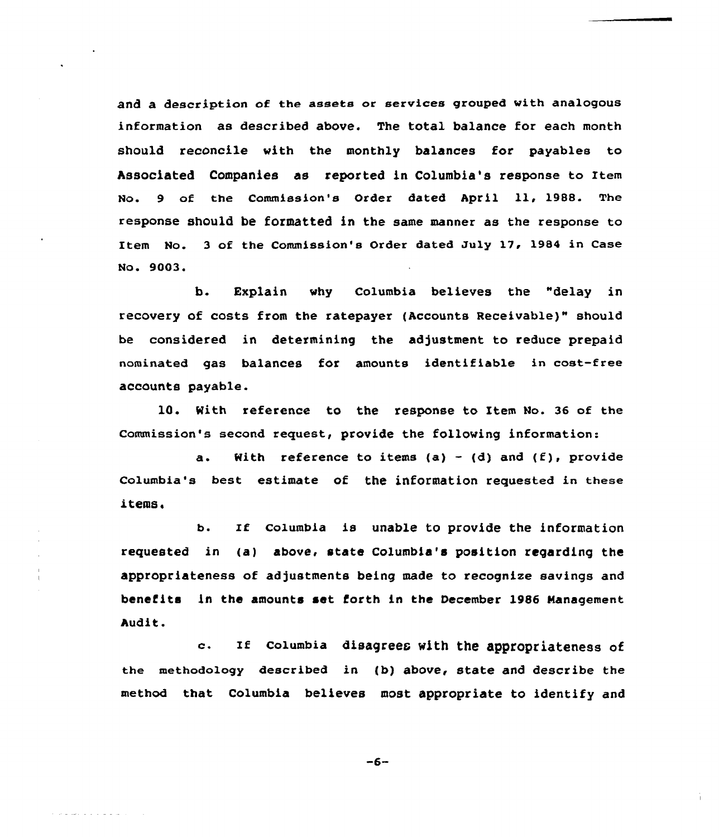and a description of the assets or services grouped with analogous information as described above. The total balance for each month should reconcile with the monthly balances for payables to Associated Companies as reported in Columbia's response to Item No. <sup>9</sup> of the Commission's Order dated April ll, 1988. The response should be formatted in the same manner as the response to Item No. 3 of the Commission's Order dated July 17, 1984 in Case No. 9003.

b. Explain why Columbia believes the "delay in recovery of costs from the ratepayer (Accounts Receivable)" should be considered in determining the adjustment to reduce prepaid nominated gas balances for amounts identifiable in cost-free accounts payable.

10. With reference to the response to Item No. 36 of the Commission's second request, provide the following information:

a. With reference to items (a) – (d) and (f), provide Columbia's best estimate of the information requested in these items.

b. If columbia is unable to provide the information requested in (a) above, state Columbia's position regarding the appropriateness of adjustments being made to recognize savings and benefits in the amounts set forth in the December l986 Management Audit.

c. If Columbia disagrees with the appropriateness of the methodology described in {b) above, state and describe the method that Columbia believes most appropriate to identify and

 $-6-$ 

والمالق فالقائد والمسافرة والمارد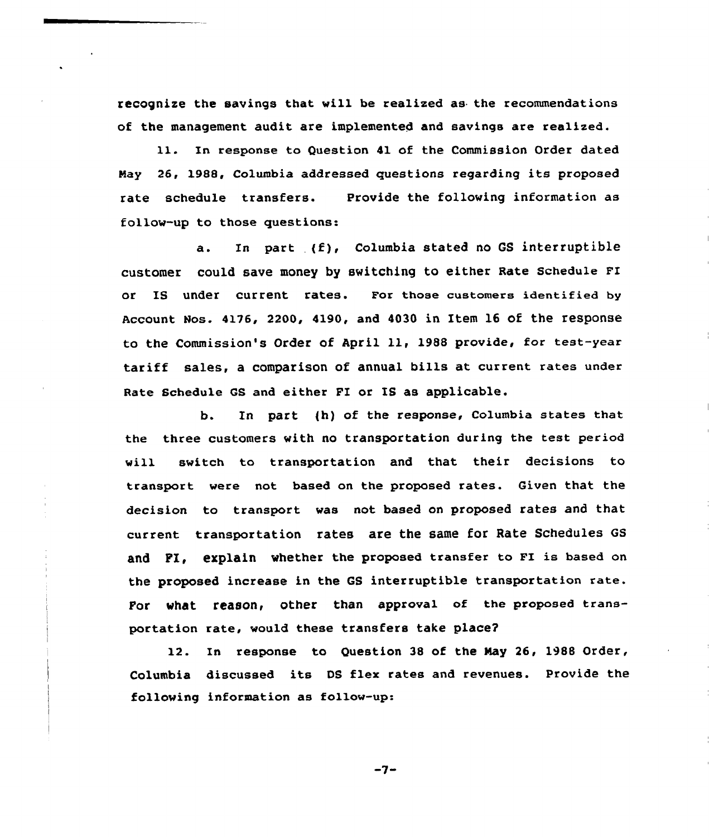recognize the savings that will be realized as the recommendations of the management audit are implemented and savings are realized.

11. In response to Question 41 of the Commission Order dated Nay 26, 1988, Columbia addressed guestions regarding its proposed rate schedule transfers. follow-up to those questions: Provide the following information as

a. In part {f), Columbia stated no GS interruptible CuatOmer COuld SaVe mOney by SWitChing tO either Rate SChedule FI or IS under current rates. For those customers identified by Account Hos. 4176, 2200, 4190, and 4030 in Item 16 of the response to the Commission's Order of April ll, <sup>1988</sup> provide, for test-year tariff sales, a comparison of annual bills at current rates under Rate Schedule GS and either FI or IS as applicable.

b. In part {h) of the response, Columbia states that the three customers with no transportation during the test period will switch to transportation and that their decisions to transport were not based on the proposed rates. Given that the decision to transport was not based on proposed rates and that current transportation rates are the same for Rate Schedules GS and FI, explain whether the proposed transfer to FI is based on the proposed increase in the GS interruptible transportation rate. For what reason, other than approval of the proposed transportation rate, would these transfers take place?

12. In response to Question 38 of the Nay 26, 1988 Order, Columbia discussed its DS flex rates and revenues. Provide the following information as follow-up:

 $-7-$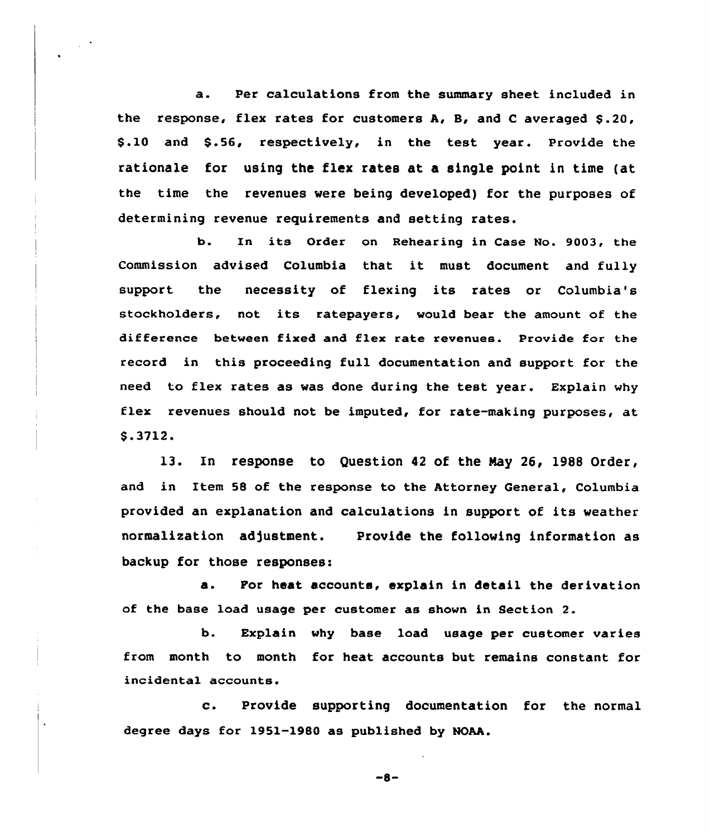a. Per calculations from the summary sheet included in the response, flex rates for customers  $A$ ,  $B$ , and  $C$  averaged  $S.20$ , \$.10 and \$.56, respectively, in the test year. Provide the rationale for using the flex rates at a single point in time (at the time the revenues were being developed) for the purposes of determining revenue requirements and setting rates.

b. In its Order on Rehearing in Case No. 9003, the Commission advised Columbia that it must document and fully support the necessity of flexing its rates or Columbia's stockholders, not its ratepayers, would bear the amount of the difference between fixed and flex rate revenues. Provide for the record in this proceeding full documentation and support for the need to flex rates as was done during the test year. Explain why flex revenues should not be imputed, for rate-making purposes, at \$ .3712.

l3. In response to Question <sup>42</sup> of the Nay 26, 1988 Order, and in Item 58 of the response to the Attorney General, Columbia provided an explanation and calculations in support of its weather normalization adjustment. Provide the following information as backup for those responses:

a. For heat accounts, explain in detail the derivation of the base load usage per customer as shown in Section 2.

b. Explain why base load usage per customer varies from month to month for heat accounts but remains constant for incidental accounts.

c. Provide supporting documentation for the normal degree days for 1951-1980 as published by NOAA.

 $-8-$